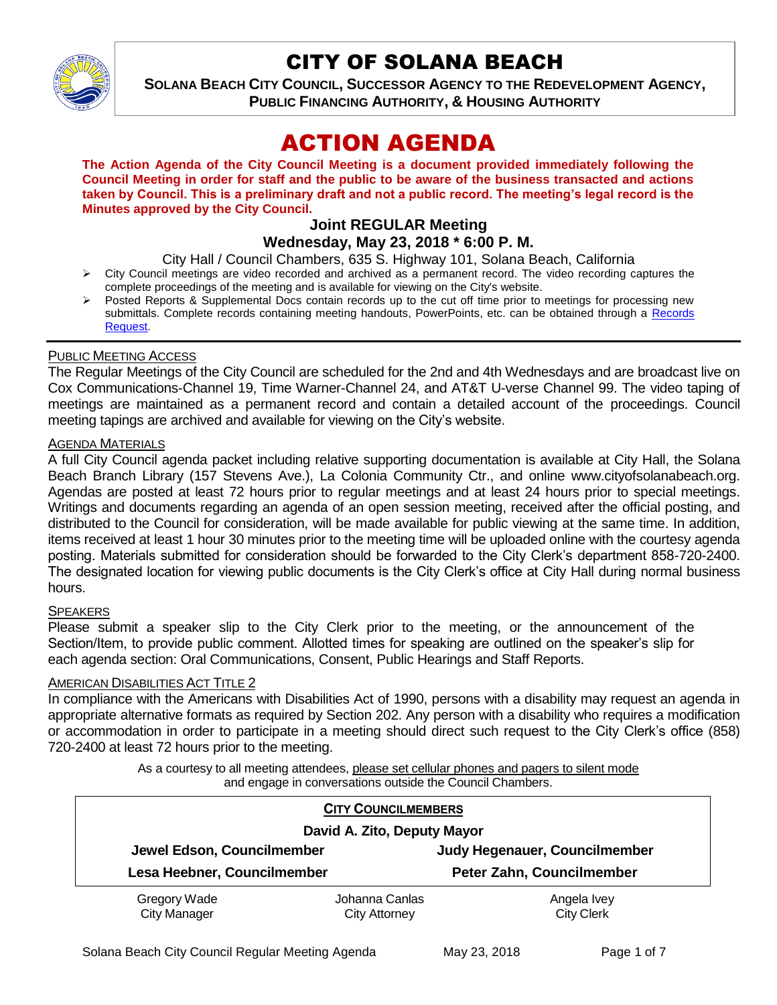

# CITY OF SOLANA BEACH

**SOLANA BEACH CITY COUNCIL, SUCCESSOR AGENCY TO THE REDEVELOPMENT AGENCY, PUBLIC FINANCING AUTHORITY, & HOUSING AUTHORITY** 

# ACTION AGENDA

**The Action Agenda of the City Council Meeting is a document provided immediately following the Council Meeting in order for staff and the public to be aware of the business transacted and actions taken by Council. This is a preliminary draft and not a public record. The meeting's legal record is the Minutes approved by the City Council.**

## **Joint REGULAR Meeting Wednesday, May 23, 2018 \* 6:00 P. M.**

City Hall / Council Chambers, 635 S. Highway 101, Solana Beach, California

- $\triangleright$  City Council meetings are video recorded and archived as a permanent record. The video recording captures the complete proceedings of the meeting and is available for viewing on the City's website.
- Posted Reports & Supplemental Docs contain records up to the cut off time prior to meetings for processing new submittals. Complete records containing meeting handouts, PowerPoints, etc. can be obtained through a Records [Request.](http://www.ci.solana-beach.ca.us/index.asp?SEC=F5D45D10-70CE-4291-A27C-7BD633FC6742&Type=B_BASIC)

## PUBLIC MEETING ACCESS

The Regular Meetings of the City Council are scheduled for the 2nd and 4th Wednesdays and are broadcast live on Cox Communications-Channel 19, Time Warner-Channel 24, and AT&T U-verse Channel 99. The video taping of meetings are maintained as a permanent record and contain a detailed account of the proceedings. Council meeting tapings are archived and available for viewing on the City's website.

#### AGENDA MATERIALS

A full City Council agenda packet including relative supporting documentation is available at City Hall, the Solana Beach Branch Library (157 Stevens Ave.), La Colonia Community Ctr., and online www.cityofsolanabeach.org. Agendas are posted at least 72 hours prior to regular meetings and at least 24 hours prior to special meetings. Writings and documents regarding an agenda of an open session meeting, received after the official posting, and distributed to the Council for consideration, will be made available for public viewing at the same time. In addition, items received at least 1 hour 30 minutes prior to the meeting time will be uploaded online with the courtesy agenda posting. Materials submitted for consideration should be forwarded to the City Clerk's department 858-720-2400. The designated location for viewing public documents is the City Clerk's office at City Hall during normal business hours.

#### **SPEAKERS**

Please submit a speaker slip to the City Clerk prior to the meeting, or the announcement of the Section/Item, to provide public comment. Allotted times for speaking are outlined on the speaker's slip for each agenda section: Oral Communications, Consent, Public Hearings and Staff Reports.

#### AMERICAN DISABILITIES ACT TITLE 2

In compliance with the Americans with Disabilities Act of 1990, persons with a disability may request an agenda in appropriate alternative formats as required by Section 202. Any person with a disability who requires a modification or accommodation in order to participate in a meeting should direct such request to the City Clerk's office (858) 720-2400 at least 72 hours prior to the meeting.

> As a courtesy to all meeting attendees, please set cellular phones and pagers to silent mode and engage in conversations outside the Council Chambers.

| <b>CITY COUNCILMEMBERS</b>          |                                        |                                  |
|-------------------------------------|----------------------------------------|----------------------------------|
| David A. Zito, Deputy Mayor         |                                        |                                  |
| Jewel Edson, Councilmember          |                                        | Judy Hegenauer, Councilmember    |
| Lesa Heebner, Councilmember         |                                        | Peter Zahn, Councilmember        |
| Gregory Wade<br><b>City Manager</b> | Johanna Canlas<br><b>City Attorney</b> | Angela Ivey<br><b>City Clerk</b> |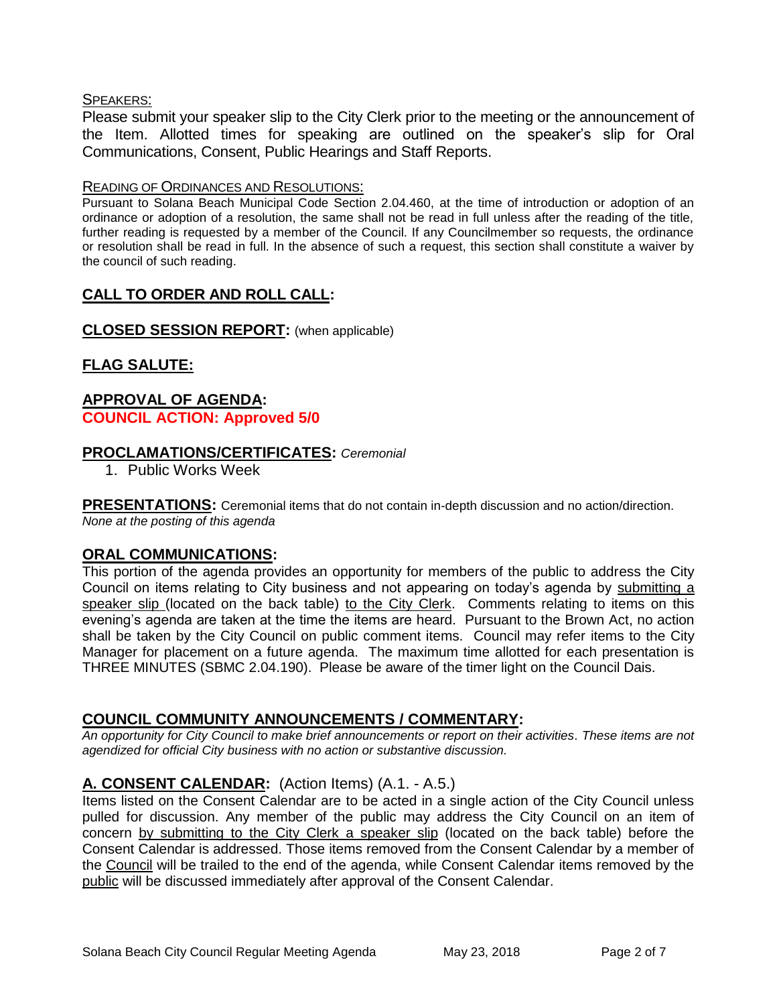## SPEAKERS:

Please submit your speaker slip to the City Clerk prior to the meeting or the announcement of the Item. Allotted times for speaking are outlined on the speaker's slip for Oral Communications, Consent, Public Hearings and Staff Reports.

## READING OF ORDINANCES AND RESOLUTIONS:

Pursuant to Solana Beach Municipal Code Section 2.04.460, at the time of introduction or adoption of an ordinance or adoption of a resolution, the same shall not be read in full unless after the reading of the title, further reading is requested by a member of the Council. If any Councilmember so requests, the ordinance or resolution shall be read in full. In the absence of such a request, this section shall constitute a waiver by the council of such reading.

# **CALL TO ORDER AND ROLL CALL:**

## **CLOSED SESSION REPORT:** (when applicable)

# **FLAG SALUTE:**

## **APPROVAL OF AGENDA: COUNCIL ACTION: Approved 5/0**

## **PROCLAMATIONS/CERTIFICATES:** *Ceremonial*

1. Public Works Week

**PRESENTATIONS:** Ceremonial items that do not contain in-depth discussion and no action/direction. *None at the posting of this agenda*

## **ORAL COMMUNICATIONS:**

This portion of the agenda provides an opportunity for members of the public to address the City Council on items relating to City business and not appearing on today's agenda by submitting a speaker slip (located on the back table) to the City Clerk. Comments relating to items on this evening's agenda are taken at the time the items are heard. Pursuant to the Brown Act, no action shall be taken by the City Council on public comment items. Council may refer items to the City Manager for placement on a future agenda. The maximum time allotted for each presentation is THREE MINUTES (SBMC 2.04.190). Please be aware of the timer light on the Council Dais.

## **COUNCIL COMMUNITY ANNOUNCEMENTS / COMMENTARY:**

*An opportunity for City Council to make brief announcements or report on their activities. These items are not agendized for official City business with no action or substantive discussion.* 

## **A. CONSENT CALENDAR:** (Action Items) (A.1. - A.5.)

Items listed on the Consent Calendar are to be acted in a single action of the City Council unless pulled for discussion. Any member of the public may address the City Council on an item of concern by submitting to the City Clerk a speaker slip (located on the back table) before the Consent Calendar is addressed. Those items removed from the Consent Calendar by a member of the Council will be trailed to the end of the agenda, while Consent Calendar items removed by the public will be discussed immediately after approval of the Consent Calendar.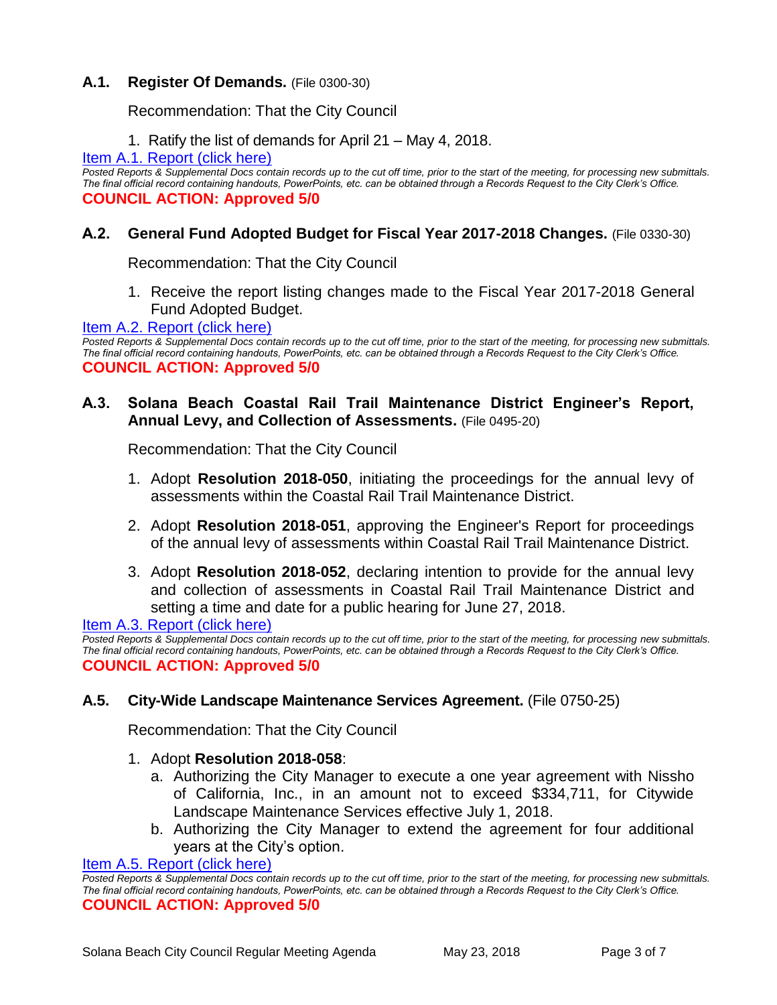## **A.1. Register Of Demands.** (File 0300-30)

Recommendation: That the City Council

1. Ratify the list of demands for April 21 – May 4, 2018.

#### [Item A.1. Report \(click here\)](https://solanabeach.govoffice3.com/vertical/Sites/%7B840804C2-F869-4904-9AE3-720581350CE7%7D/uploads/Item_A.1._Report_(click_here)_5-23-18.PDF)

*Posted Reports & Supplemental Docs contain records up to the cut off time, prior to the start of the meeting, for processing new submittals. The final official record containing handouts, PowerPoints, etc. can be obtained through a Records Request to the City Clerk's Office.* **COUNCIL ACTION: Approved 5/0**

## **A.2. General Fund Adopted Budget for Fiscal Year 2017-2018 Changes.** (File 0330-30)

Recommendation: That the City Council

1. Receive the report listing changes made to the Fiscal Year 2017-2018 General Fund Adopted Budget.

#### [Item A.2. Report \(click here\)](https://solanabeach.govoffice3.com/vertical/Sites/%7B840804C2-F869-4904-9AE3-720581350CE7%7D/uploads/Item_A.2._Report_(click_here)_5-23-18.PDF)

*Posted Reports & Supplemental Docs contain records up to the cut off time, prior to the start of the meeting, for processing new submittals. The final official record containing handouts, PowerPoints, etc. can be obtained through a Records Request to the City Clerk's Office.* **COUNCIL ACTION: Approved 5/0**

## **A.3. Solana Beach Coastal Rail Trail Maintenance District Engineer's Report, Annual Levy, and Collection of Assessments.** (File 0495-20)

Recommendation: That the City Council

- 1. Adopt **Resolution 2018-050**, initiating the proceedings for the annual levy of assessments within the Coastal Rail Trail Maintenance District.
- 2. Adopt **Resolution 2018-051**, approving the Engineer's Report for proceedings of the annual levy of assessments within Coastal Rail Trail Maintenance District.
- 3. Adopt **Resolution 2018-052**, declaring intention to provide for the annual levy and collection of assessments in Coastal Rail Trail Maintenance District and setting a time and date for a public hearing for June 27, 2018.

[Item A.3. Report \(click here\)](https://solanabeach.govoffice3.com/vertical/Sites/%7B840804C2-F869-4904-9AE3-720581350CE7%7D/uploads/Item_A.3._Report_(click_here)_05-23-18.PDF)

Posted Reports & Supplemental Docs contain records up to the cut off time, prior to the start of the meeting, for processing new submittals. *The final official record containing handouts, PowerPoints, etc. can be obtained through a Records Request to the City Clerk's Office.* **COUNCIL ACTION: Approved 5/0**

#### **A.5. City-Wide Landscape Maintenance Services Agreement.** (File 0750-25)

Recommendation: That the City Council

#### 1. Adopt **Resolution 2018-058**:

- a. Authorizing the City Manager to execute a one year agreement with Nissho of California, Inc., in an amount not to exceed \$334,711, for Citywide Landscape Maintenance Services effective July 1, 2018.
- b. Authorizing the City Manager to extend the agreement for four additional years at the City's option.

#### [Item A.5. Report \(click here\)](https://solanabeach.govoffice3.com/vertical/Sites/%7B840804C2-F869-4904-9AE3-720581350CE7%7D/uploads/Item_A.5._Report_(click_here)_5-23-18.PDF)

*Posted Reports & Supplemental Docs contain records up to the cut off time, prior to the start of the meeting, for processing new submittals. The final official record containing handouts, PowerPoints, etc. can be obtained through a Records Request to the City Clerk's Office.* **COUNCIL ACTION: Approved 5/0**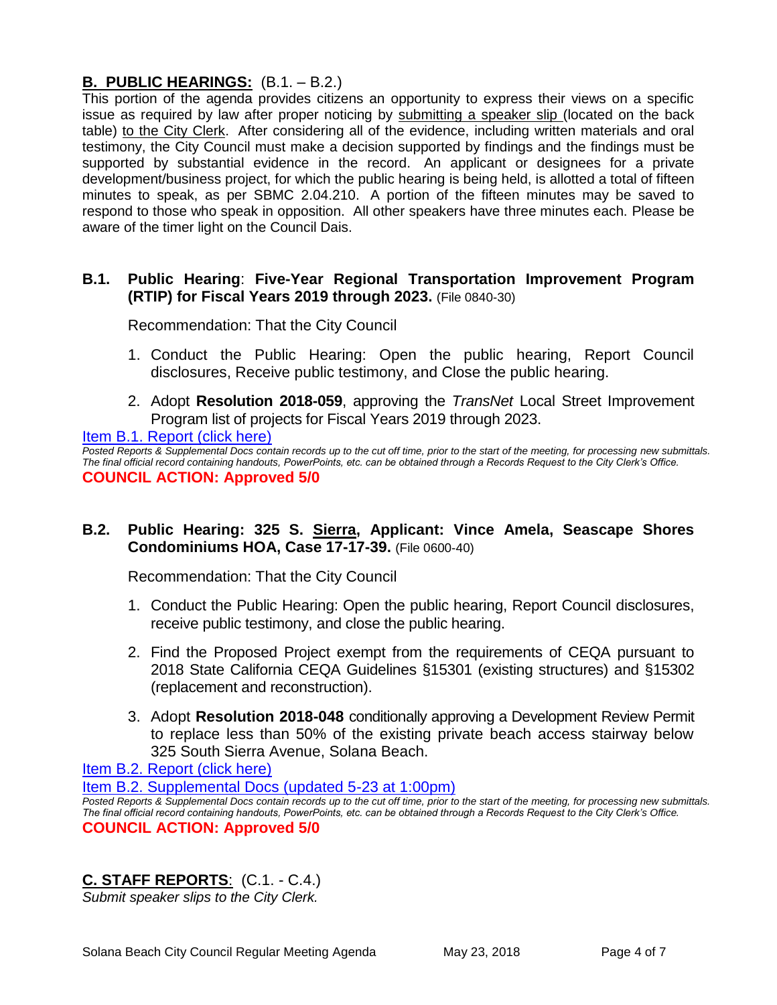## **B. PUBLIC HEARINGS:** (B.1. – B.2.)

This portion of the agenda provides citizens an opportunity to express their views on a specific issue as required by law after proper noticing by submitting a speaker slip (located on the back table) to the City Clerk. After considering all of the evidence, including written materials and oral testimony, the City Council must make a decision supported by findings and the findings must be supported by substantial evidence in the record. An applicant or designees for a private development/business project, for which the public hearing is being held, is allotted a total of fifteen minutes to speak, as per SBMC 2.04.210. A portion of the fifteen minutes may be saved to respond to those who speak in opposition. All other speakers have three minutes each. Please be aware of the timer light on the Council Dais.

## **B.1. Public Hearing**: **Five-Year Regional Transportation Improvement Program (RTIP) for Fiscal Years 2019 through 2023.** (File 0840-30)

Recommendation: That the City Council

- 1. Conduct the Public Hearing: Open the public hearing, Report Council disclosures, Receive public testimony, and Close the public hearing.
- 2. Adopt **Resolution 2018-059**, approving the *TransNet* Local Street Improvement Program list of projects for Fiscal Years 2019 through 2023.

#### [Item B.1. Report \(click here\)](https://solanabeach.govoffice3.com/vertical/Sites/%7B840804C2-F869-4904-9AE3-720581350CE7%7D/uploads/Item_B.1._Report_(click_here)_5-23-18.PDF)

*Posted Reports & Supplemental Docs contain records up to the cut off time, prior to the start of the meeting, for processing new submittals. The final official record containing handouts, PowerPoints, etc. can be obtained through a Records Request to the City Clerk's Office.* **COUNCIL ACTION: Approved 5/0**

## **B.2. Public Hearing: 325 S. Sierra, Applicant: Vince Amela, Seascape Shores Condominiums HOA, Case 17-17-39.** (File 0600-40)

Recommendation: That the City Council

- 1. Conduct the Public Hearing: Open the public hearing, Report Council disclosures, receive public testimony, and close the public hearing.
- 2. Find the Proposed Project exempt from the requirements of CEQA pursuant to 2018 State California CEQA Guidelines §15301 (existing structures) and §15302 (replacement and reconstruction).
- 3. Adopt **Resolution 2018-048** conditionally approving a Development Review Permit to replace less than 50% of the existing private beach access stairway below 325 South Sierra Avenue, Solana Beach.

[Item B.2. Report \(click here\)](https://solanabeach.govoffice3.com/vertical/Sites/%7B840804C2-F869-4904-9AE3-720581350CE7%7D/uploads/Item_B.2._Report_(click_here)_5-23-18.PDF)

[Item B.2. Supplemental Docs \(updated 5-23](https://solanabeach.govoffice3.com/vertical/Sites/%7B840804C2-F869-4904-9AE3-720581350CE7%7D/uploads/B.2._Supplemental_Docs_(Updated_5-23_at_1pm).pdf) at 1:00pm)

*Posted Reports & Supplemental Docs contain records up to the cut off time, prior to the start of the meeting, for processing new submittals. The final official record containing handouts, PowerPoints, etc. can be obtained through a Records Request to the City Clerk's Office.* **COUNCIL ACTION: Approved 5/0**

# **C. STAFF REPORTS**: (C.1. - C.4.)

*Submit speaker slips to the City Clerk.*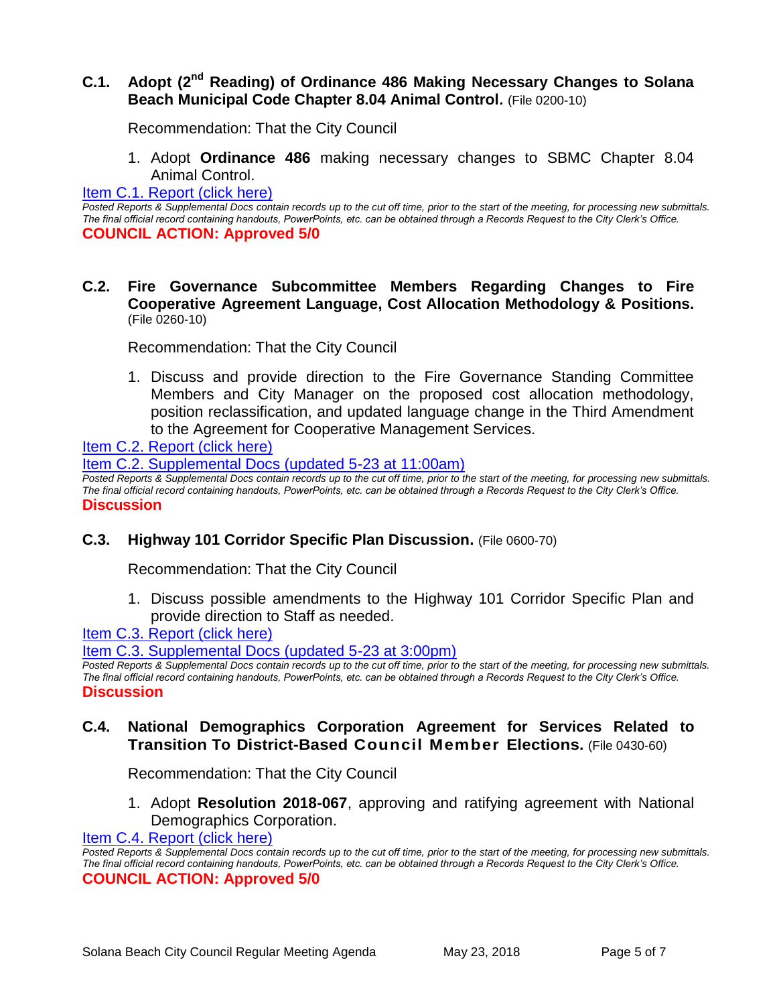## **C.1. Adopt (2nd Reading) of Ordinance 486 Making Necessary Changes to Solana Beach Municipal Code Chapter 8.04 Animal Control.** (File 0200-10)

Recommendation: That the City Council

1. Adopt **Ordinance 486** making necessary changes to SBMC Chapter 8.04 Animal Control.

#### [Item C.1. Report \(click here\)](https://solanabeach.govoffice3.com/vertical/Sites/%7B840804C2-F869-4904-9AE3-720581350CE7%7D/uploads/Item_C.1._Report_(click_here)_5-23-18.PDF)

*Posted Reports & Supplemental Docs contain records up to the cut off time, prior to the start of the meeting, for processing new submittals. The final official record containing handouts, PowerPoints, etc. can be obtained through a Records Request to the City Clerk's Office.* **COUNCIL ACTION: Approved 5/0**

**C.2. Fire Governance Subcommittee Members Regarding Changes to Fire Cooperative Agreement Language, Cost Allocation Methodology & Positions.** (File 0260-10)

Recommendation: That the City Council

1. Discuss and provide direction to the Fire Governance Standing Committee Members and City Manager on the proposed cost allocation methodology, position reclassification, and updated language change in the Third Amendment to the Agreement for Cooperative Management Services.

[Item C.2. Report \(click here\)](https://solanabeach.govoffice3.com/vertical/Sites/%7B840804C2-F869-4904-9AE3-720581350CE7%7D/uploads/Item_C.2._Report_(click_here)_05-23-18.pdf)

[Item C.2. Supplemental Docs \(updated 5-23 at 11:00am\)](https://solanabeach.govoffice3.com/vertical/Sites/%7B840804C2-F869-4904-9AE3-720581350CE7%7D/uploads/C.2._Supplemental_Docs_(Updated_5-23_at_11am).pdf) 

*Posted Reports & Supplemental Docs contain records up to the cut off time, prior to the start of the meeting, for processing new submittals. The final official record containing handouts, PowerPoints, etc. can be obtained through a Records Request to the City Clerk's Office.* **Discussion**

#### **C.3. Highway 101 Corridor Specific Plan Discussion.** (File 0600-70)

Recommendation: That the City Council

1. Discuss possible amendments to the Highway 101 Corridor Specific Plan and provide direction to Staff as needed.

[Item C.3. Report \(click here\)](https://solanabeach.govoffice3.com/vertical/Sites/%7B840804C2-F869-4904-9AE3-720581350CE7%7D/uploads/Item_C.3._Report_(click_here)_05-23-18.PDF)

[Item C.3. Supplemental Docs \(updated 5-23 at 3:00pm\)](https://solanabeach.govoffice3.com/vertical/Sites/%7B840804C2-F869-4904-9AE3-720581350CE7%7D/uploads/C.3.a._Supplemental_Docs_(Updated_5-23_at_3pm).pdf)

*Posted Reports & Supplemental Docs contain records up to the cut off time, prior to the start of the meeting, for processing new submittals. The final official record containing handouts, PowerPoints, etc. can be obtained through a Records Request to the City Clerk's Office.* **Discussion**

## **C.4. National Demographics Corporation Agreement for Services Related to Transition To District-Based Council Member Elections.** (File 0430-60)

Recommendation: That the City Council

1. Adopt **Resolution 2018-067**, approving and ratifying agreement with National Demographics Corporation.

[Item C.4. Report \(click here\)](https://solanabeach.govoffice3.com/vertical/Sites/%7B840804C2-F869-4904-9AE3-720581350CE7%7D/uploads/Item_C.4._Report_(click_here)_05-23-18.PDF)

*Posted Reports & Supplemental Docs contain records up to the cut off time, prior to the start of the meeting, for processing new submittals. The final official record containing handouts, PowerPoints, etc. can be obtained through a Records Request to the City Clerk's Office.* **COUNCIL ACTION: Approved 5/0**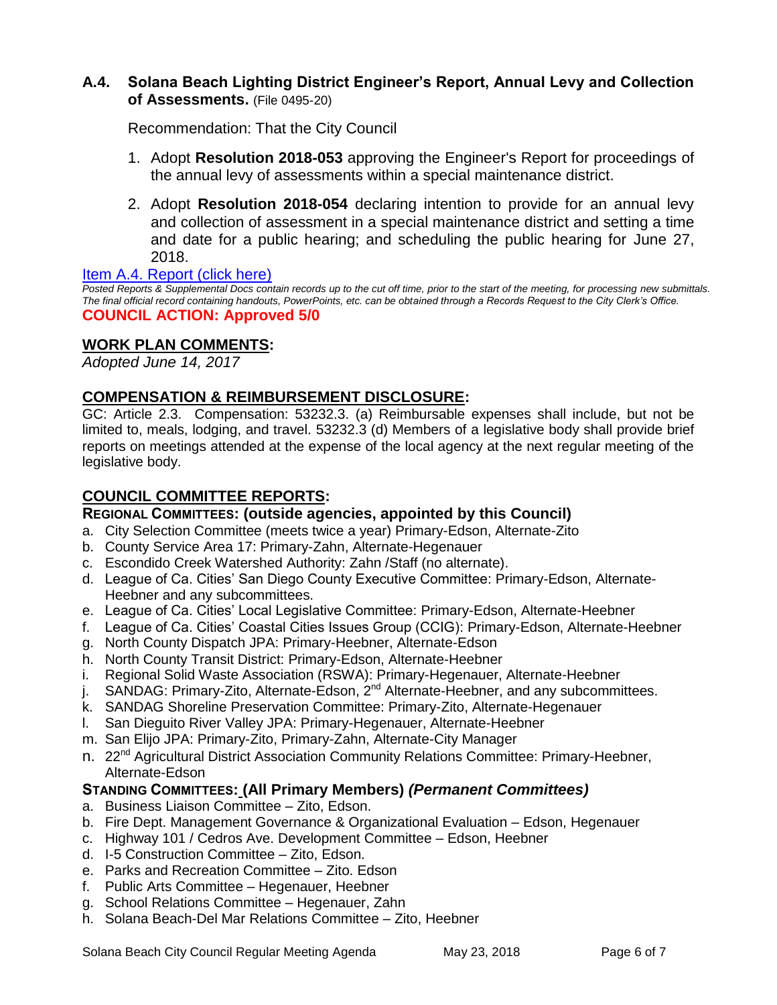## **A.4. Solana Beach Lighting District Engineer's Report, Annual Levy and Collection of Assessments.** (File 0495-20)

Recommendation: That the City Council

- 1. Adopt **Resolution 2018-053** approving the Engineer's Report for proceedings of the annual levy of assessments within a special maintenance district.
- 2. Adopt **Resolution 2018-054** declaring intention to provide for an annual levy and collection of assessment in a special maintenance district and setting a time and date for a public hearing; and scheduling the public hearing for June 27, 2018.

#### [Item A.4. Report \(click here\)](https://solanabeach.govoffice3.com/vertical/Sites/%7B840804C2-F869-4904-9AE3-720581350CE7%7D/uploads/Item_A.4._Report_(click_here)_5-23-18.PDF)

*Posted Reports & Supplemental Docs contain records up to the cut off time, prior to the start of the meeting, for processing new submittals. The final official record containing handouts, PowerPoints, etc. can be obtained through a Records Request to the City Clerk's Office.* **COUNCIL ACTION: Approved 5/0**

## **WORK PLAN COMMENTS:**

*Adopted June 14, 2017*

## **COMPENSATION & REIMBURSEMENT DISCLOSURE:**

GC: Article 2.3. Compensation: 53232.3. (a) Reimbursable expenses shall include, but not be limited to, meals, lodging, and travel. 53232.3 (d) Members of a legislative body shall provide brief reports on meetings attended at the expense of the local agency at the next regular meeting of the legislative body.

## **COUNCIL COMMITTEE REPORTS:**

## **REGIONAL COMMITTEES: (outside agencies, appointed by this Council)**

- a. City Selection Committee (meets twice a year) Primary-Edson, Alternate-Zito
- b. County Service Area 17: Primary-Zahn, Alternate-Hegenauer
- c. Escondido Creek Watershed Authority: Zahn /Staff (no alternate).
- d. League of Ca. Cities' San Diego County Executive Committee: Primary-Edson, Alternate-Heebner and any subcommittees.
- e. League of Ca. Cities' Local Legislative Committee: Primary-Edson, Alternate-Heebner
- f. League of Ca. Cities' Coastal Cities Issues Group (CCIG): Primary-Edson, Alternate-Heebner
- g. North County Dispatch JPA: Primary-Heebner, Alternate-Edson
- h. North County Transit District: Primary-Edson, Alternate-Heebner
- i. Regional Solid Waste Association (RSWA): Primary-Hegenauer, Alternate-Heebner
- j. SANDAG: Primary-Zito, Alternate-Edson,  $2^{nd}$  Alternate-Heebner, and any subcommittees.
- k. SANDAG Shoreline Preservation Committee: Primary-Zito, Alternate-Hegenauer
- l. San Dieguito River Valley JPA: Primary-Hegenauer, Alternate-Heebner
- m. San Elijo JPA: Primary-Zito, Primary-Zahn, Alternate-City Manager
- n. 22<sup>nd</sup> Agricultural District Association Community Relations Committee: Primary-Heebner, Alternate-Edson

## **STANDING COMMITTEES: (All Primary Members)** *(Permanent Committees)*

- a. Business Liaison Committee Zito, Edson.
- b. Fire Dept. Management Governance & Organizational Evaluation Edson, Hegenauer
- c. Highway 101 / Cedros Ave. Development Committee Edson, Heebner
- d. I-5 Construction Committee Zito, Edson.
- e. Parks and Recreation Committee Zito. Edson
- f. Public Arts Committee Hegenauer, Heebner
- g. School Relations Committee Hegenauer, Zahn
- h. Solana Beach-Del Mar Relations Committee Zito, Heebner